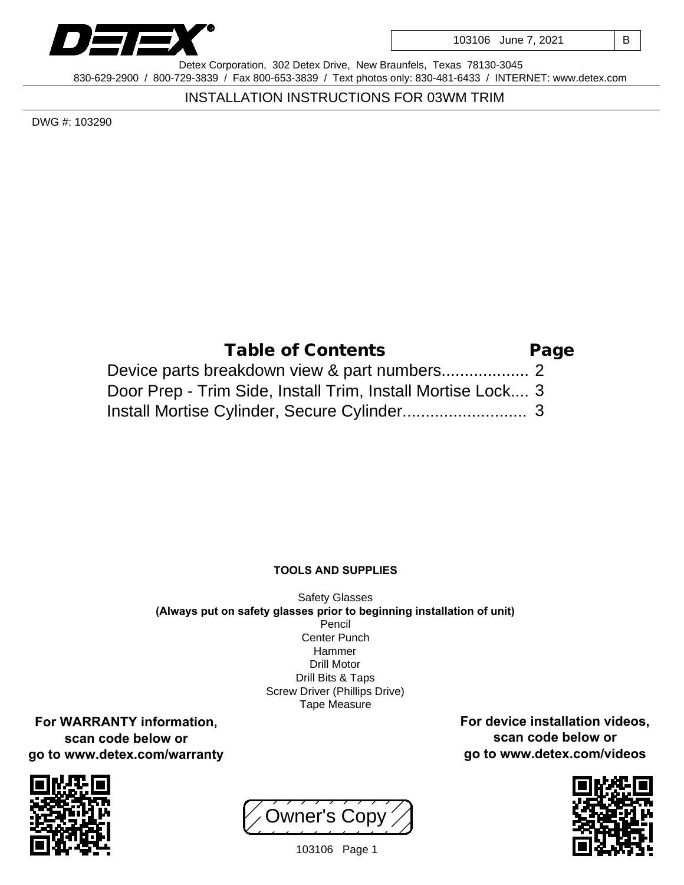

103106 June 7, 2021 | B

Detex Corporation, 302 Detex Drive, New Braunfels, Texas 78130-3045 830-629-2900 / 800-729-3839 / Fax 800-653-3839 / Text photos only: 830-481-6433 / INTERNET: www.detex.com

INSTALLATION INSTRUCTIONS FOR 03WM TRIM

DWG #: 103290

| Table of Contents                                           | Page |
|-------------------------------------------------------------|------|
|                                                             |      |
| Door Prep - Trim Side, Install Trim, Install Mortise Lock 3 |      |
|                                                             |      |

## **TOOLS AND SUPPLIES**

Safety Glasses **(Always put on safety glasses prior to beginning installation of unit)** Pencil Center Punch Hammer Drill Motor Drill Bits & Taps Screw Driver (Phillips Drive) Tape Measure

**For WARRANTY information, scan code below or go to www.detex.com/warranty**



Owner's Copy



**For device installation videos, scan code below or go to www.detex.com/videos**

103106 Page 1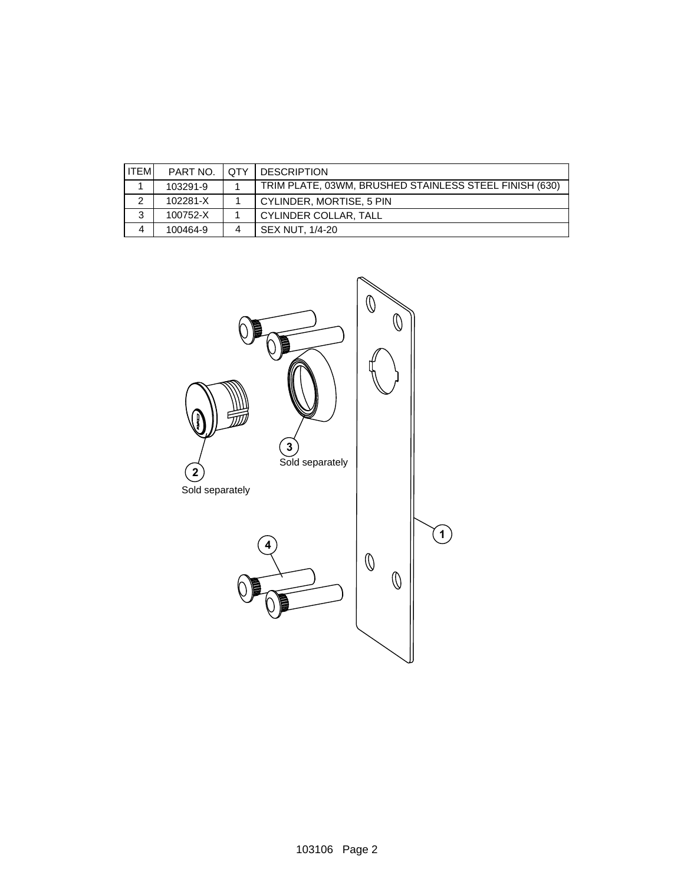| <b>ITEMI</b> | PART NO. | ∴ I QTY | <b>DESCRIPTION</b>                                     |
|--------------|----------|---------|--------------------------------------------------------|
|              | 103291-9 |         | TRIM PLATE, 03WM, BRUSHED STAINLESS STEEL FINISH (630) |
|              | 102281-X |         | l CYLINDER. MORTISE. 5 PIN                             |
| ◠            | 100752-X |         | l CYLINDER COLLAR. TALL                                |
|              | 100464-9 |         | SEX NUT. 1/4-20                                        |